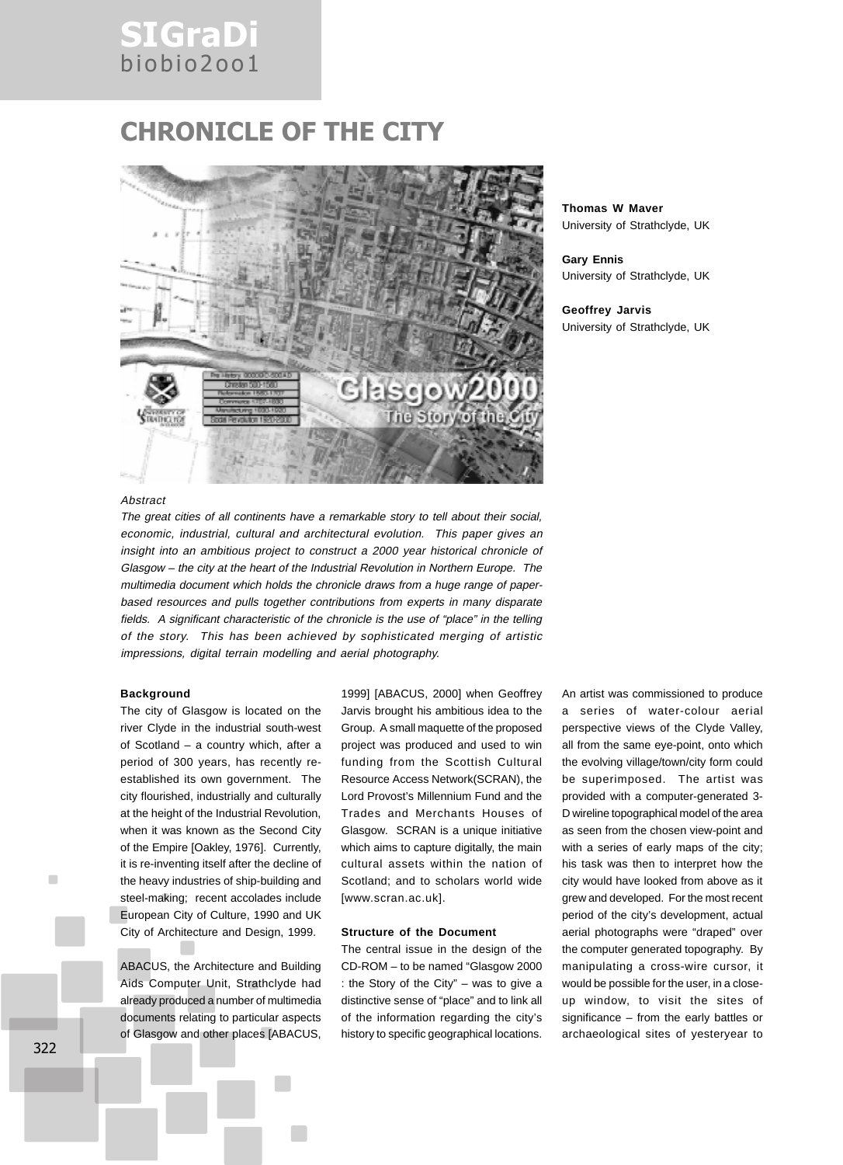## SIGraDi biobio2oo1

## CHRONICLE OF THE CITY



**Thomas W Maver** University of Strathclyde, UK

**Gary Ennis** University of Strathclyde, UK

**Geoffrey Jarvis** University of Strathclyde, UK

### **Abstract**

The great cities of all continents have a remarkable story to tell about their social, economic, industrial, cultural and architectural evolution. This paper gives an insight into an ambitious project to construct a 2000 year historical chronicle of Glasgow – the city at the heart of the Industrial Revolution in Northern Europe. The multimedia document which holds the chronicle draws from a huge range of paperbased resources and pulls together contributions from experts in many disparate fields. A significant characteristic of the chronicle is the use of "place" in the telling of the story. This has been achieved by sophisticated merging of artistic impressions, digital terrain modelling and aerial photography.

#### **Background**

The city of Glasgow is located on the river Clyde in the industrial south-west of Scotland – a country which, after a period of 300 years, has recently reestablished its own government. The city flourished, industrially and culturally at the height of the Industrial Revolution, when it was known as the Second City of the Empire [Oakley, 1976]. Currently, it is re-inventing itself after the decline of the heavy industries of ship-building and steel-making; recent accolades include European City of Culture, 1990 and UK City of Architecture and Design, 1999.

ABACUS, the Architecture and Building Aids Computer Unit, Strathclyde had already produced a number of multimedia documents relating to particular aspects of Glasgow and other places [ABACUS, 1999] [ABACUS, 2000] when Geoffrey Jarvis brought his ambitious idea to the Group. A small maquette of the proposed project was produced and used to win funding from the Scottish Cultural Resource Access Network(SCRAN), the Lord Provost's Millennium Fund and the Trades and Merchants Houses of Glasgow. SCRAN is a unique initiative which aims to capture digitally, the main cultural assets within the nation of Scotland; and to scholars world wide [www.scran.ac.uk].

## **Structure of the Document**

The central issue in the design of the CD-ROM – to be named "Glasgow 2000 : the Story of the City" – was to give a distinctive sense of "place" and to link all of the information regarding the city's history to specific geographical locations.

An artist was commissioned to produce a series of water-colour aerial perspective views of the Clyde Valley, all from the same eye-point, onto which the evolving village/town/city form could be superimposed. The artist was provided with a computer-generated 3- D wireline topographical model of the area as seen from the chosen view-point and with a series of early maps of the city; his task was then to interpret how the city would have looked from above as it grew and developed. For the most recent period of the city's development, actual aerial photographs were "draped" over the computer generated topography. By manipulating a cross-wire cursor, it would be possible for the user, in a closeup window, to visit the sites of significance – from the early battles or archaeological sites of yesteryear to

п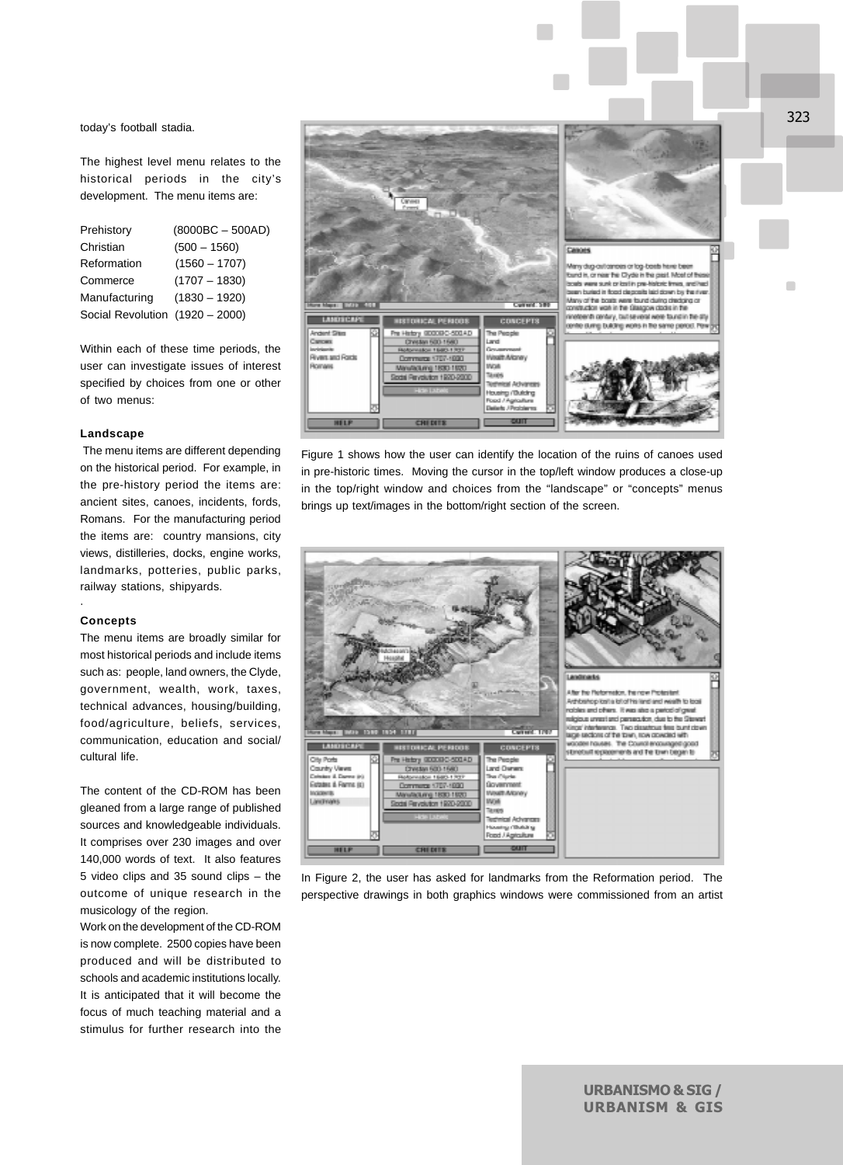today's football stadia.

The highest level menu relates to the historical periods in the city's development. The menu items are:

| Prehistory                      | $(8000BC - 500AD)$ |
|---------------------------------|--------------------|
| Christian                       | $(500 - 1560)$     |
| Reformation                     | $(1560 - 1707)$    |
| Commerce                        | $(1707 - 1830)$    |
| Manufacturing                   | $(1830 - 1920)$    |
| Social Revolution (1920 - 2000) |                    |

Within each of these time periods, the user can investigate issues of interest specified by choices from one or other of two menus:

### **Landscape**

 The menu items are different depending on the historical period. For example, in the pre-history period the items are: ancient sites, canoes, incidents, fords, Romans. For the manufacturing period the items are: country mansions, city views, distilleries, docks, engine works, landmarks, potteries, public parks, railway stations, shipyards.

#### **Concepts**

·

The menu items are broadly similar for most historical periods and include items such as: people, land owners, the Clyde, government, wealth, work, taxes, technical advances, housing/building, food/agriculture, beliefs, services, communication, education and social/ cultural life.

The content of the CD-ROM has been gleaned from a large range of published sources and knowledgeable individuals. It comprises over 230 images and over 140,000 words of text. It also features 5 video clips and 35 sound clips – the outcome of unique research in the musicology of the region.

Work on the development of the CD-ROM is now complete. 2500 copies have been produced and will be distributed to schools and academic institutions locally. It is anticipated that it will become the focus of much teaching material and a stimulus for further research into the



Figure 1 shows how the user can identify the location of the ruins of canoes used in pre-historic times. Moving the cursor in the top/left window produces a close-up in the top/right window and choices from the "landscape" or "concepts" menus brings up text/images in the bottom/right section of the screen.



In Figure 2, the user has asked for landmarks from the Reformation period. The perspective drawings in both graphics windows were commissioned from an artist

323

 $\blacksquare$